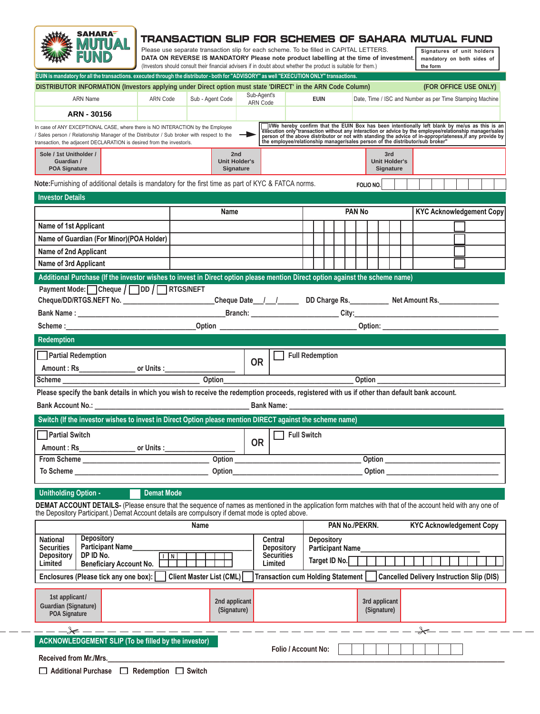

## **TRANSACTION SLIP FOR SCHEMES OF SAHARA MUTUAL FUND**

| Please use separate transaction slip for each scheme. To be filled in CAPITAL LETTERS.                          |  |
|-----------------------------------------------------------------------------------------------------------------|--|
| DATA ON REVERSE IS MANDATORY Please note product labelling at the time of investment.                           |  |
| (Investors should consult their financial advisers if in doubt about whether the product is suitable for them.) |  |

**Signatures of unit holders mandatory on both sides of the form**

| EUIN is mandatory for all the transactions. executed through the distributor - both for "ADVISORY" as well "EXECUTION ONLY" transactions.                                                                                                                      |                                          |                                 |                                       |                                                                                                                                                                                                                                                                                                                 |                                                   |           |                                                          |                                 |                                                  |  |  |
|----------------------------------------------------------------------------------------------------------------------------------------------------------------------------------------------------------------------------------------------------------------|------------------------------------------|---------------------------------|---------------------------------------|-----------------------------------------------------------------------------------------------------------------------------------------------------------------------------------------------------------------------------------------------------------------------------------------------------------------|---------------------------------------------------|-----------|----------------------------------------------------------|---------------------------------|--------------------------------------------------|--|--|
| DISTRIBUTOR INFORMATION (Investors applying under Direct option must state 'DIRECT' in the ARN Code Column)                                                                                                                                                    |                                          |                                 |                                       |                                                                                                                                                                                                                                                                                                                 |                                                   |           |                                                          | (FOR OFFICE USE ONLY)           |                                                  |  |  |
| <b>ARN Name</b>                                                                                                                                                                                                                                                | ARN Code                                 | Sub - Agent Code                | Sub-Agent's<br><b>ARN Code</b>        | <b>EUIN</b>                                                                                                                                                                                                                                                                                                     |                                                   |           | Date, Time / ISC and Number as per Time Stamping Machine |                                 |                                                  |  |  |
| ARN - 30156                                                                                                                                                                                                                                                    |                                          |                                 |                                       |                                                                                                                                                                                                                                                                                                                 |                                                   |           |                                                          |                                 |                                                  |  |  |
| In case of ANY EXCEPTIONAL CASE, where there is NO INTERACTION by the Employee<br>/ Sales person / Relationship Manager of the Distributor / Sub broker with respect to the<br>transaction, the adjacent DECLARATION is desired from the investor/s.           |                                          |                                 | $\rightarrow$                         | IWe hereby confirm that the EUIN Box has been intentionally left blank by me/us as this is an execution only transaction without any interaction or advice by the employee/relationship manager/sales person of the above dist<br>the employee/relationship manager/sales person of the distributor/sub broker" |                                                   |           |                                                          |                                 |                                                  |  |  |
| Sole / 1st Unitholder /<br>Guardian /<br><b>POA Signature</b>                                                                                                                                                                                                  | 2nd<br><b>Unit Holder's</b><br>Signature |                                 |                                       | 3rd<br><b>Unit Holder's</b><br>Signature                                                                                                                                                                                                                                                                        |                                                   |           |                                                          |                                 |                                                  |  |  |
| Note: Furnishing of additional details is mandatory for the first time as part of KYC & FATCA norms.                                                                                                                                                           |                                          |                                 |                                       |                                                                                                                                                                                                                                                                                                                 |                                                   | FOLIO NO. |                                                          |                                 |                                                  |  |  |
| <b>Investor Details</b>                                                                                                                                                                                                                                        |                                          |                                 |                                       |                                                                                                                                                                                                                                                                                                                 |                                                   |           |                                                          |                                 |                                                  |  |  |
|                                                                                                                                                                                                                                                                |                                          | Name                            |                                       |                                                                                                                                                                                                                                                                                                                 | <b>PAN No</b>                                     |           |                                                          | <b>KYC Acknowledgement Copy</b> |                                                  |  |  |
| Name of 1st Applicant                                                                                                                                                                                                                                          |                                          |                                 |                                       |                                                                                                                                                                                                                                                                                                                 |                                                   |           |                                                          |                                 |                                                  |  |  |
| Name of Guardian (For Minor)(POA Holder)                                                                                                                                                                                                                       |                                          |                                 |                                       |                                                                                                                                                                                                                                                                                                                 |                                                   |           |                                                          |                                 |                                                  |  |  |
| Name of 2nd Applicant                                                                                                                                                                                                                                          |                                          |                                 |                                       |                                                                                                                                                                                                                                                                                                                 |                                                   |           |                                                          |                                 |                                                  |  |  |
| Name of 3rd Applicant                                                                                                                                                                                                                                          |                                          |                                 |                                       |                                                                                                                                                                                                                                                                                                                 |                                                   |           |                                                          |                                 |                                                  |  |  |
| Additional Purchase (If the investor wishes to invest in Direct option please mention Direct option against the scheme name)                                                                                                                                   |                                          |                                 |                                       |                                                                                                                                                                                                                                                                                                                 |                                                   |           |                                                          |                                 |                                                  |  |  |
| Payment Mode: Cheque / DD / RTGS/NEFT                                                                                                                                                                                                                          |                                          |                                 |                                       |                                                                                                                                                                                                                                                                                                                 |                                                   |           |                                                          |                                 |                                                  |  |  |
| Cheque/DD/RTGS.NEFT No. _______________________Cheque Date__/__/________DD Charge Rs. ___________Net Amount Rs. _______________________                                                                                                                        |                                          |                                 |                                       |                                                                                                                                                                                                                                                                                                                 |                                                   |           |                                                          |                                 |                                                  |  |  |
|                                                                                                                                                                                                                                                                |                                          |                                 |                                       |                                                                                                                                                                                                                                                                                                                 |                                                   |           |                                                          |                                 |                                                  |  |  |
|                                                                                                                                                                                                                                                                |                                          |                                 |                                       |                                                                                                                                                                                                                                                                                                                 |                                                   |           |                                                          |                                 |                                                  |  |  |
| Redemption                                                                                                                                                                                                                                                     |                                          |                                 |                                       |                                                                                                                                                                                                                                                                                                                 |                                                   |           |                                                          |                                 |                                                  |  |  |
| Partial Redemption                                                                                                                                                                                                                                             |                                          |                                 |                                       | <b>Full Redemption</b>                                                                                                                                                                                                                                                                                          |                                                   |           |                                                          |                                 |                                                  |  |  |
|                                                                                                                                                                                                                                                                |                                          |                                 | <b>OR</b>                             |                                                                                                                                                                                                                                                                                                                 |                                                   |           |                                                          |                                 |                                                  |  |  |
| Scheme                                                                                                                                                                                                                                                         |                                          | Option                          |                                       |                                                                                                                                                                                                                                                                                                                 |                                                   | Option    |                                                          |                                 |                                                  |  |  |
| Please specify the bank details in which you wish to receive the redemption proceeds, registered with us if other than default bank account.                                                                                                                   |                                          |                                 |                                       |                                                                                                                                                                                                                                                                                                                 |                                                   |           |                                                          |                                 |                                                  |  |  |
|                                                                                                                                                                                                                                                                |                                          |                                 |                                       |                                                                                                                                                                                                                                                                                                                 |                                                   |           |                                                          |                                 |                                                  |  |  |
| Switch (If the investor wishes to invest in Direct Option please mention DIRECT against the scheme name)                                                                                                                                                       |                                          |                                 |                                       |                                                                                                                                                                                                                                                                                                                 |                                                   |           |                                                          |                                 |                                                  |  |  |
| Partial Switch                                                                                                                                                                                                                                                 |                                          |                                 |                                       | <b>Full Switch</b>                                                                                                                                                                                                                                                                                              |                                                   |           |                                                          |                                 |                                                  |  |  |
|                                                                                                                                                                                                                                                                |                                          |                                 | <b>OR</b>                             |                                                                                                                                                                                                                                                                                                                 |                                                   |           |                                                          |                                 |                                                  |  |  |
| <b>From Scheme</b>                                                                                                                                                                                                                                             | <b>Option</b>                            |                                 |                                       |                                                                                                                                                                                                                                                                                                                 | Option                                            |           |                                                          |                                 |                                                  |  |  |
| To Scheme                                                                                                                                                                                                                                                      | Option                                   |                                 |                                       |                                                                                                                                                                                                                                                                                                                 | Option _                                          |           |                                                          |                                 |                                                  |  |  |
|                                                                                                                                                                                                                                                                |                                          |                                 |                                       |                                                                                                                                                                                                                                                                                                                 |                                                   |           |                                                          |                                 |                                                  |  |  |
| <b>Unitholding Option -</b>                                                                                                                                                                                                                                    | <b>Demat Mode</b>                        |                                 |                                       |                                                                                                                                                                                                                                                                                                                 |                                                   |           |                                                          |                                 |                                                  |  |  |
| DEMAT ACCOUNT DETAILS- (Please ensure that the sequence of names as mentioned in the application form matches with that of the account held with any one of<br>the Depository Participant.) Demat Account details are compulsory if demat mode is opted above. |                                          |                                 |                                       |                                                                                                                                                                                                                                                                                                                 |                                                   |           |                                                          |                                 |                                                  |  |  |
| <b>Name</b>                                                                                                                                                                                                                                                    |                                          |                                 |                                       |                                                                                                                                                                                                                                                                                                                 | PAN No./PEKRN.<br><b>KYC Acknowledgement Copy</b> |           |                                                          |                                 |                                                  |  |  |
| <b>Depository</b><br><b>National</b><br>Participant Name<br><b>Securities</b>                                                                                                                                                                                  |                                          | <b>Central</b>                  | <b>Depository</b><br>Participant Name |                                                                                                                                                                                                                                                                                                                 |                                                   |           |                                                          |                                 |                                                  |  |  |
| <b>Depository</b><br>DP ID No.<br><b>Securities</b><br><b>Depository</b><br>$\overline{  }$                                                                                                                                                                    |                                          |                                 |                                       |                                                                                                                                                                                                                                                                                                                 | Target ID No.                                     |           |                                                          |                                 |                                                  |  |  |
| Limited<br><b>Beneficiary Account No.</b>                                                                                                                                                                                                                      |                                          |                                 | Limited                               |                                                                                                                                                                                                                                                                                                                 |                                                   |           |                                                          |                                 |                                                  |  |  |
| Enclosures (Please tick any one box):                                                                                                                                                                                                                          |                                          | <b>Client Master List (CML)</b> |                                       | <b>Transaction cum Holding Statement</b>                                                                                                                                                                                                                                                                        |                                                   |           |                                                          |                                 | <b>Cancelled Delivery Instruction Slip (DIS)</b> |  |  |
| 1st applicant/<br><b>Guardian (Signature)</b><br><b>POA Signature</b>                                                                                                                                                                                          |                                          | 2nd applicant<br>(Signature)    |                                       | 3rd applicant<br>(Signature)                                                                                                                                                                                                                                                                                    |                                                   |           |                                                          |                                 |                                                  |  |  |
|                                                                                                                                                                                                                                                                | -*-------------                          |                                 |                                       |                                                                                                                                                                                                                                                                                                                 |                                                   |           |                                                          | $2 - - -$                       |                                                  |  |  |
| <b>ACKNOWLEDGEMENT SLIP (To be filled by the investor)</b>                                                                                                                                                                                                     |                                          |                                 |                                       |                                                                                                                                                                                                                                                                                                                 |                                                   |           |                                                          |                                 |                                                  |  |  |
| Received from Mr./Mrs.                                                                                                                                                                                                                                         |                                          |                                 |                                       | Folio / Account No:                                                                                                                                                                                                                                                                                             |                                                   |           |                                                          |                                 |                                                  |  |  |
|                                                                                                                                                                                                                                                                |                                          |                                 |                                       |                                                                                                                                                                                                                                                                                                                 |                                                   |           |                                                          |                                 |                                                  |  |  |

22